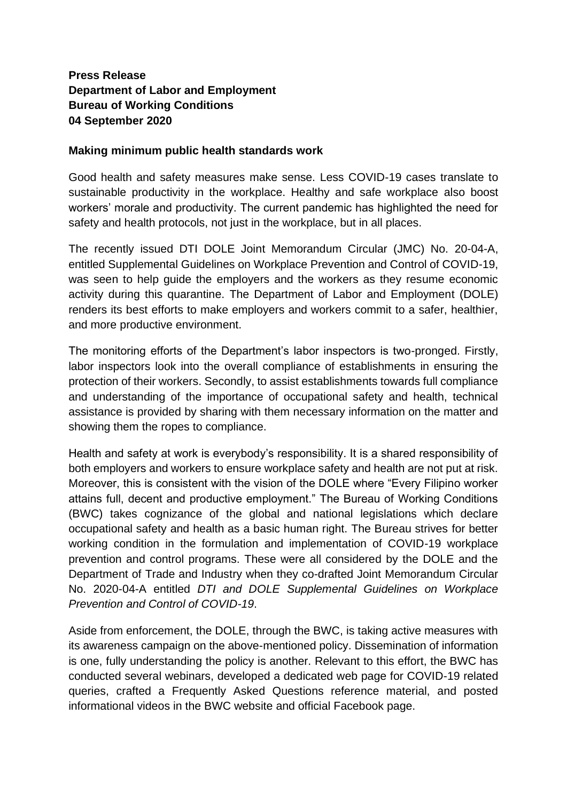## **Press Release Department of Labor and Employment Bureau of Working Conditions 04 September 2020**

## **Making minimum public health standards work**

Good health and safety measures make sense. Less COVID-19 cases translate to sustainable productivity in the workplace. Healthy and safe workplace also boost workers' morale and productivity. The current pandemic has highlighted the need for safety and health protocols, not just in the workplace, but in all places.

The recently issued DTI DOLE Joint Memorandum Circular (JMC) No. 20-04-A, entitled Supplemental Guidelines on Workplace Prevention and Control of COVID-19, was seen to help guide the employers and the workers as they resume economic activity during this quarantine. The Department of Labor and Employment (DOLE) renders its best efforts to make employers and workers commit to a safer, healthier, and more productive environment.

The monitoring efforts of the Department's labor inspectors is two-pronged. Firstly, labor inspectors look into the overall compliance of establishments in ensuring the protection of their workers. Secondly, to assist establishments towards full compliance and understanding of the importance of occupational safety and health, technical assistance is provided by sharing with them necessary information on the matter and showing them the ropes to compliance.

Health and safety at work is everybody's responsibility. It is a shared responsibility of both employers and workers to ensure workplace safety and health are not put at risk. Moreover, this is consistent with the vision of the DOLE where "Every Filipino worker attains full, decent and productive employment." The Bureau of Working Conditions (BWC) takes cognizance of the global and national legislations which declare occupational safety and health as a basic human right. The Bureau strives for better working condition in the formulation and implementation of COVID-19 workplace prevention and control programs. These were all considered by the DOLE and the Department of Trade and Industry when they co-drafted Joint Memorandum Circular No. 2020-04-A entitled *DTI and DOLE Supplemental Guidelines on Workplace Prevention and Control of COVID-19*.

Aside from enforcement, the DOLE, through the BWC, is taking active measures with its awareness campaign on the above-mentioned policy. Dissemination of information is one, fully understanding the policy is another. Relevant to this effort, the BWC has conducted several webinars, developed a dedicated web page for COVID-19 related queries, crafted a Frequently Asked Questions reference material, and posted informational videos in the BWC website and official Facebook page.